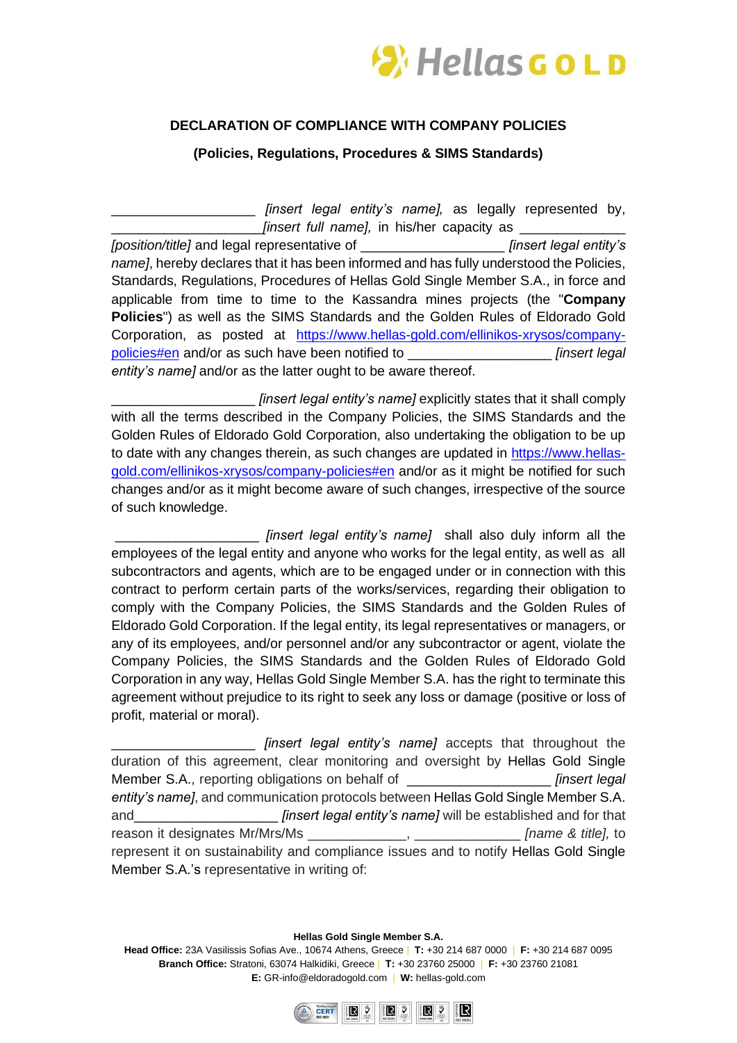

## **DECLARATION OF COMPLIANCE WITH COMPANY POLICIES**

**(Policies, Regulations, Procedures & SIMS Standards)**

*[insert legal entity's name]*, as legally represented by, *[insert full name]*, in his/her capacity as

*[position/title]* and legal representative of \_\_\_\_\_\_\_\_\_\_\_\_\_\_\_\_\_\_\_ *[insert legal entity's name]*, hereby declares that it has been informed and has fully understood the Policies, Standards, Regulations, Procedures of Hellas Gold Single Member S.A., in force and applicable from time to time to the Kassandra mines projects (the "**Company Policies**") as well as the SIMS Standards and the Golden Rules of Eldorado Gold Corporation, as posted at [https://www.hellas-gold.com/ellinikos-xrysos/company](https://www.hellas-gold.com/ellinikos-xrysos/company-policies#en)[policies#en](https://www.hellas-gold.com/ellinikos-xrysos/company-policies#en) and/or as such have been notified to \_\_\_\_\_\_\_\_\_\_\_\_\_\_\_\_\_\_\_ *[insert legal entity's name]* and/or as the latter ought to be aware thereof.

*[insert legal entity's name]* explicitly states that it shall comply with all the terms described in the Company Policies, the SIMS Standards and the Golden Rules of Eldorado Gold Corporation, also undertaking the obligation to be up to date with any changes therein, as such changes are updated in [https://www.hellas](https://www.hellas-gold.com/ellinikos-xrysos/company-policies#en)[gold.com/ellinikos-xrysos/company-policies#en](https://www.hellas-gold.com/ellinikos-xrysos/company-policies#en) and/or as it might be notified for such changes and/or as it might become aware of such changes, irrespective of the source of such knowledge.

*finsert legal entity's name]* shall also duly inform all the employees of the legal entity and anyone who works for the legal entity, as well as all subcontractors and agents, which are to be engaged under or in connection with this contract to perform certain parts of the works/services, regarding their obligation to comply with the Company Policies, the SIMS Standards and the Golden Rules of Eldorado Gold Corporation. If the legal entity, its legal representatives or managers, or any of its employees, and/or personnel and/or any subcontractor or agent, violate the Company Policies, the SIMS Standards and the Golden Rules of Eldorado Gold Corporation in any way, Hellas Gold Single Member S.A. has the right to terminate this agreement without prejudice to its right to seek any loss or damage (positive or loss of profit, material or moral).

\_\_\_\_\_\_\_\_\_\_\_\_\_\_\_\_\_\_\_ *[insert legal entity's name]* accepts that throughout the duration of this agreement, clear monitoring and oversight by Hellas Gold Single Member S.A., reporting obligations on behalf of \_\_\_\_\_\_\_\_\_\_\_\_\_\_\_\_\_\_\_ *[insert legal entity's name]*, and communication protocols between Hellas Gold Single Member S.A. and\_\_\_\_\_\_\_\_\_\_\_\_\_\_\_\_\_\_\_ *[insert legal entity's name]* will be established and for that reason it designates Mr/Mrs/Ms \_\_\_\_\_\_\_\_\_\_\_\_\_, \_\_\_\_\_\_\_\_\_\_\_\_\_\_ *[name & title],* to represent it on sustainability and compliance issues and to notify Hellas Gold Single Member S.A.'s representative in writing of:

**Hellas Gold Single Member S.A.**

**Head Office:** 23A Vasilissis Sofias Ave., 10674 Athens, Greece | **T:** +30 214 687 0000 | **F:** +30 214 687 0095 **Branch Office:** Stratoni, 63074 Halkidiki, Greece | **Τ:** +30 23760 25000 | **F:** +30 23760 21081 **E:** GR-info@eldoradogold.com | **W:** hellas-gold.com